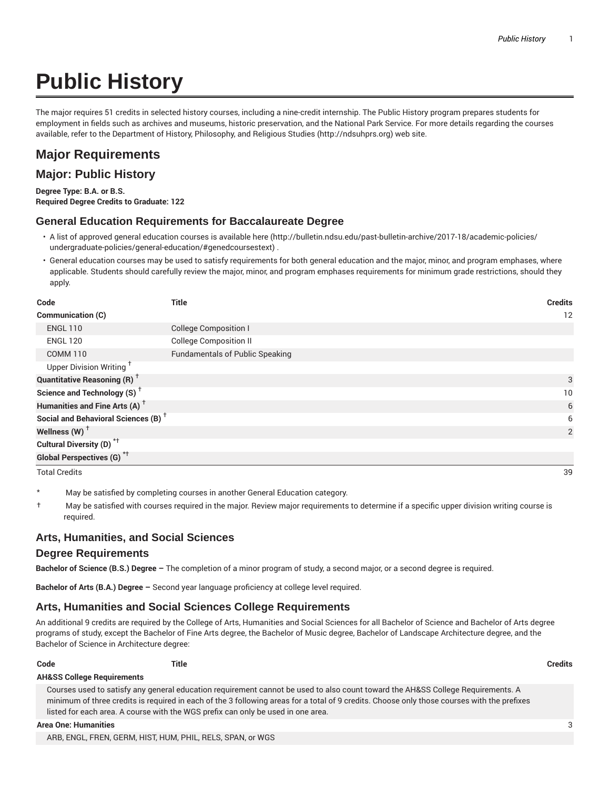# **Public History**

The major requires 51 credits in selected history courses, including a nine-credit internship. The Public History program prepares students for employment in fields such as archives and museums, historic preservation, and the National Park Service. For more details regarding the courses available, refer to the Department of History, Philosophy, and Religious Studies (http://ndsuhprs.org) web site.

# **Major Requirements**

## **Major: Public History**

**Degree Type: B.A. or B.S. Required Degree Credits to Graduate: 122**

### **General Education Requirements for Baccalaureate Degree**

- A list of approved general education courses is available here (http://bulletin.ndsu.edu/past-bulletin-archive/2017-18/academic-policies/ undergraduate-policies/general-education/#genedcoursestext) .
- General education courses may be used to satisfy requirements for both general education and the major, minor, and program emphases, where applicable. Students should carefully review the major, minor, and program emphases requirements for minimum grade restrictions, should they apply.

| Code                                            | <b>Title</b>                           | <b>Credits</b> |
|-------------------------------------------------|----------------------------------------|----------------|
| <b>Communication (C)</b>                        |                                        | 12             |
| <b>ENGL 110</b>                                 | <b>College Composition I</b>           |                |
| <b>ENGL 120</b>                                 | <b>College Composition II</b>          |                |
| <b>COMM 110</b>                                 | <b>Fundamentals of Public Speaking</b> |                |
| Upper Division Writing <sup>+</sup>             |                                        |                |
| <b>Quantitative Reasoning (R)</b> <sup>†</sup>  |                                        | 3              |
| Science and Technology $(S)$ <sup>+</sup>       |                                        | 10             |
| Humanities and Fine Arts (A) <sup>+</sup>       |                                        | 6              |
| Social and Behavioral Sciences (B) <sup>+</sup> |                                        | 6              |
| Wellness (W) $^{\dagger}$                       |                                        | 2              |
| Cultural Diversity (D) <sup>*†</sup>            |                                        |                |
| <b>Global Perspectives (G)</b> <sup>*†</sup>    |                                        |                |

Total Credits 39

May be satisfied by completing courses in another General Education category.

† May be satisfied with courses required in the major. Review major requirements to determine if a specific upper division writing course is required.

### **Arts, Humanities, and Social Sciences**

#### **Degree Requirements**

**Bachelor of Science (B.S.) Degree –** The completion of a minor program of study, a second major, or a second degree is required.

**Bachelor of Arts (B.A.) Degree –** Second year language proficiency at college level required.

#### **Arts, Humanities and Social Sciences College Requirements**

An additional 9 credits are required by the College of Arts, Humanities and Social Sciences for all Bachelor of Science and Bachelor of Arts degree programs of study, except the Bachelor of Fine Arts degree, the Bachelor of Music degree, Bachelor of Landscape Architecture degree, and the Bachelor of Science in Architecture degree:

**Code Title Credits**

#### **AH&SS College Requirements**

Courses used to satisfy any general education requirement cannot be used to also count toward the AH&SS College Requirements. A minimum of three credits is required in each of the 3 following areas for a total of 9 credits. Choose only those courses with the prefixes listed for each area. A course with the WGS prefix can only be used in one area.

#### **Area One: Humanities** 3

ARB, ENGL, FREN, GERM, HIST, HUM, PHIL, RELS, SPAN, or WGS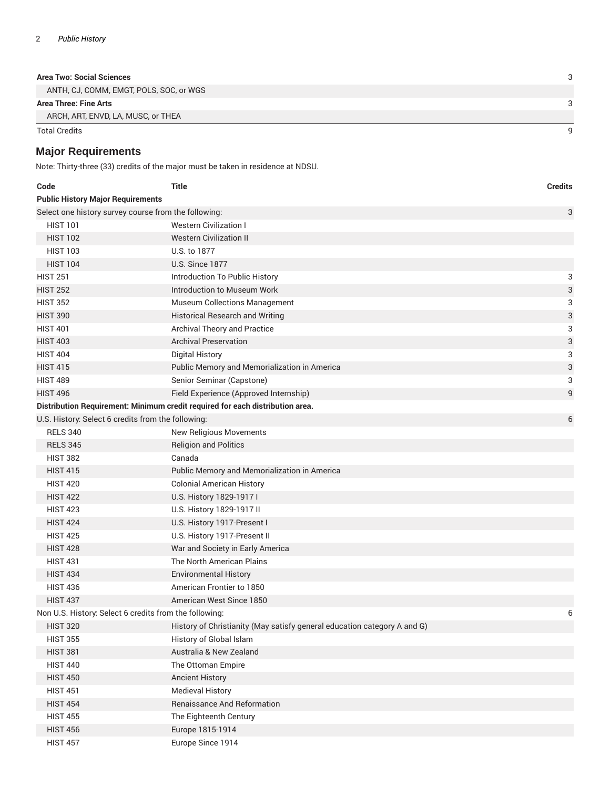| Area Two: Social Sciences |  |
|---------------------------|--|
|                           |  |

ANTH, CJ, COMM, EMGT, POLS, SOC, or WGS

#### **Area Three: Fine Arts** 3

ARCH, ART, ENVD, LA, MUSC, or THEA

Total Credits 9

# **Major Requirements**

Note: Thirty-three (33) credits of the major must be taken in residence at NDSU.

| Code                                                   | <b>Title</b>                                                                  | <b>Credits</b> |  |  |  |
|--------------------------------------------------------|-------------------------------------------------------------------------------|----------------|--|--|--|
| <b>Public History Major Requirements</b>               |                                                                               |                |  |  |  |
| Select one history survey course from the following:   |                                                                               | 3              |  |  |  |
| <b>HIST 101</b>                                        | <b>Western Civilization I</b>                                                 |                |  |  |  |
| <b>HIST 102</b>                                        | <b>Western Civilization II</b>                                                |                |  |  |  |
| <b>HIST 103</b>                                        | U.S. to 1877                                                                  |                |  |  |  |
| <b>HIST 104</b>                                        | <b>U.S. Since 1877</b>                                                        |                |  |  |  |
| <b>HIST 251</b>                                        | Introduction To Public History                                                | 3              |  |  |  |
| <b>HIST 252</b>                                        | Introduction to Museum Work                                                   | 3              |  |  |  |
| <b>HIST 352</b>                                        | <b>Museum Collections Management</b>                                          | 3              |  |  |  |
| <b>HIST 390</b>                                        | <b>Historical Research and Writing</b>                                        | 3              |  |  |  |
| <b>HIST 401</b>                                        | Archival Theory and Practice                                                  | 3              |  |  |  |
| <b>HIST 403</b>                                        | <b>Archival Preservation</b>                                                  | 3              |  |  |  |
| <b>HIST 404</b>                                        | <b>Digital History</b>                                                        | 3              |  |  |  |
| <b>HIST 415</b>                                        | Public Memory and Memorialization in America                                  | 3              |  |  |  |
| <b>HIST 489</b>                                        | Senior Seminar (Capstone)                                                     | 3              |  |  |  |
| <b>HIST 496</b>                                        | Field Experience (Approved Internship)                                        | 9              |  |  |  |
|                                                        | Distribution Requirement: Minimum credit required for each distribution area. |                |  |  |  |
| U.S. History: Select 6 credits from the following:     |                                                                               | 6              |  |  |  |
| <b>RELS 340</b>                                        | <b>New Religious Movements</b>                                                |                |  |  |  |
| <b>RELS 345</b>                                        | <b>Religion and Politics</b>                                                  |                |  |  |  |
| <b>HIST 382</b>                                        | Canada                                                                        |                |  |  |  |
| <b>HIST 415</b>                                        | Public Memory and Memorialization in America                                  |                |  |  |  |
| <b>HIST 420</b>                                        | <b>Colonial American History</b>                                              |                |  |  |  |
| <b>HIST 422</b>                                        | U.S. History 1829-1917 I                                                      |                |  |  |  |
| <b>HIST 423</b>                                        | U.S. History 1829-1917 II                                                     |                |  |  |  |
| <b>HIST 424</b>                                        | U.S. History 1917-Present I                                                   |                |  |  |  |
| <b>HIST 425</b>                                        | U.S. History 1917-Present II                                                  |                |  |  |  |
| <b>HIST 428</b>                                        | War and Society in Early America                                              |                |  |  |  |
| <b>HIST 431</b>                                        | The North American Plains                                                     |                |  |  |  |
| <b>HIST 434</b>                                        | <b>Environmental History</b>                                                  |                |  |  |  |
| <b>HIST 436</b>                                        | American Frontier to 1850                                                     |                |  |  |  |
| <b>HIST 437</b>                                        | American West Since 1850                                                      |                |  |  |  |
| Non U.S. History: Select 6 credits from the following: |                                                                               | 6              |  |  |  |
| <b>HIST 320</b>                                        | History of Christianity (May satisfy general education category A and G)      |                |  |  |  |
| <b>HIST 355</b>                                        | History of Global Islam                                                       |                |  |  |  |
| <b>HIST 381</b>                                        | Australia & New Zealand                                                       |                |  |  |  |
| <b>HIST 440</b>                                        | The Ottoman Empire                                                            |                |  |  |  |
| <b>HIST 450</b>                                        | <b>Ancient History</b>                                                        |                |  |  |  |
| <b>HIST 451</b>                                        | <b>Medieval History</b>                                                       |                |  |  |  |
| <b>HIST 454</b>                                        | Renaissance And Reformation                                                   |                |  |  |  |
| <b>HIST 455</b>                                        | The Eighteenth Century                                                        |                |  |  |  |
| <b>HIST 456</b>                                        | Europe 1815-1914                                                              |                |  |  |  |
| <b>HIST 457</b>                                        | Europe Since 1914                                                             |                |  |  |  |